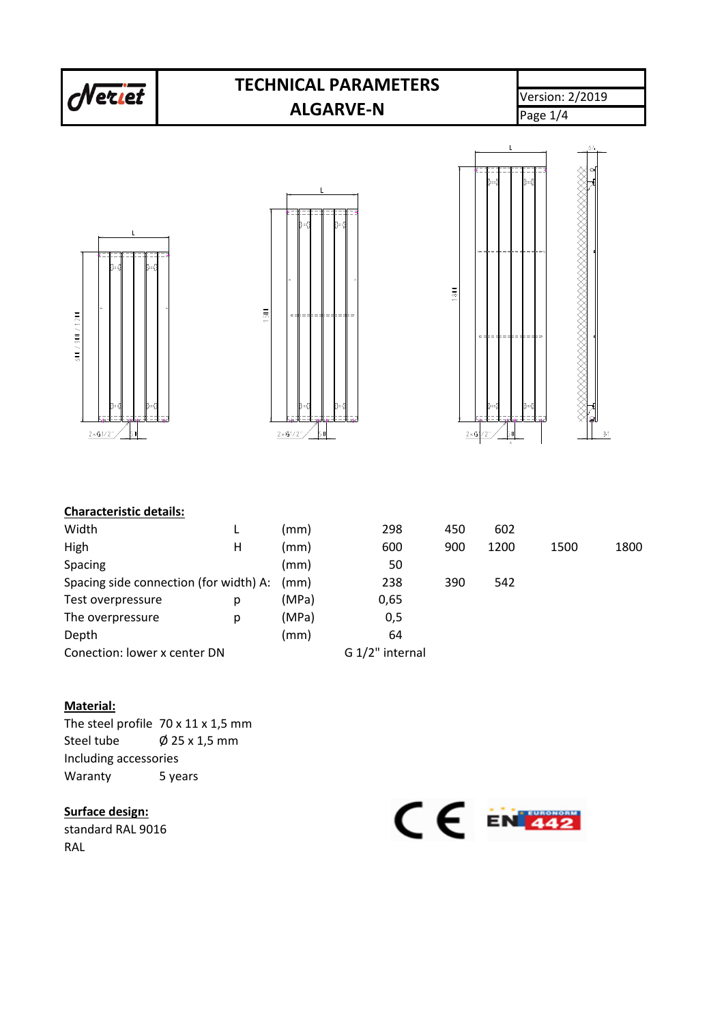

#### **Material:**

The steel profile 70 x 11 x 1,5 mm Steel tube  $\emptyset$  25 x 1,5 mm Including accessories Waranty 5 years

#### **Surface design:**

standard RAL 9016 RAL

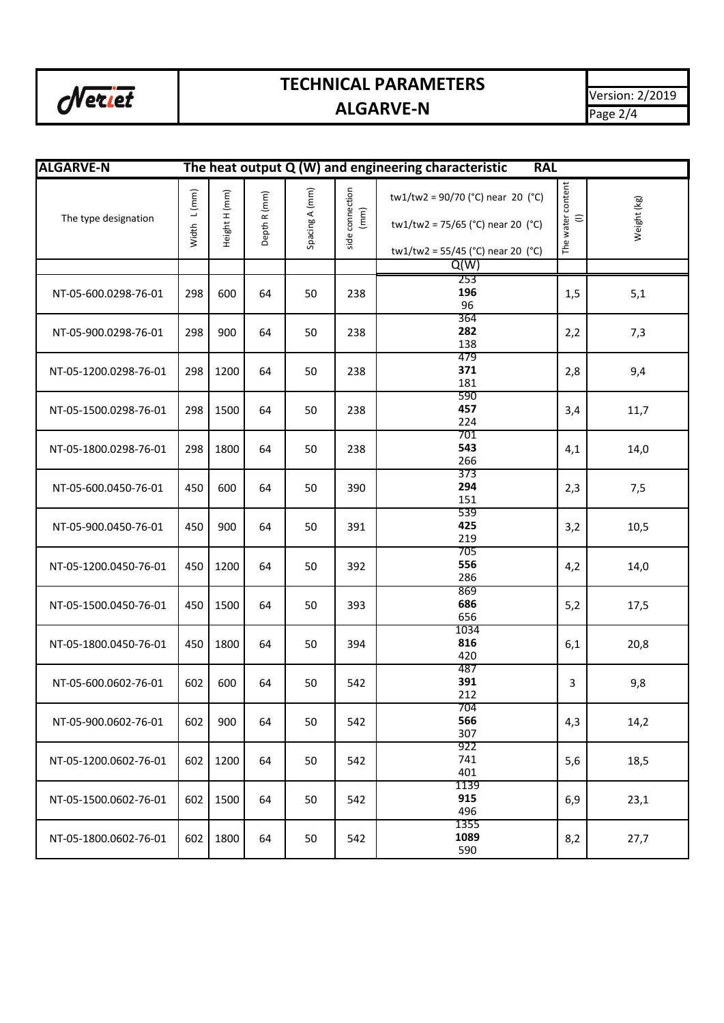

## **TECHNICAL PARAMETERS ALGARVE-N**

| <b>ALGARVE-N</b>      |             |               |              |                |                         | The heat output $Q(W)$ and engineering characteristic                                                         | <b>RAL</b>                    |             |
|-----------------------|-------------|---------------|--------------|----------------|-------------------------|---------------------------------------------------------------------------------------------------------------|-------------------------------|-------------|
| The type designation  | Width L(mm) | Height H (mm) | Depth R (mm) | Spacing A (mm) | side connection<br>(mm) | tw1/tw2 = $90/70$ (°C) near 20 (°C)<br>tw1/tw2 = 75/65 (°C) near 20 (°C)<br>tw1/tw2 = 55/45 (°C) near 20 (°C) | The water content<br>$\equiv$ | Weight (kg) |
|                       |             |               |              |                |                         | Q(W)                                                                                                          |                               |             |
| NT-05-600.0298-76-01  | 298         | 600           | 64           | 50             | 238                     | 253<br>196<br>96                                                                                              | 1,5                           | 5,1         |
| NT-05-900.0298-76-01  | 298         | 900           | 64           | 50             | 238                     | 364<br>282<br>138                                                                                             | 2,2                           | 7,3         |
| NT-05-1200.0298-76-01 | 298         | 1200          | 64           | 50             | 238                     | 479<br>371<br>181                                                                                             | 2,8                           | 9,4         |
| NT-05-1500.0298-76-01 | 298         | 1500          | 64           | 50             | 238                     | 590<br>457<br>224                                                                                             | 3,4                           | 11,7        |
| NT-05-1800.0298-76-01 | 298         | 1800          | 64           | 50             | 238                     | 701<br>543<br>266                                                                                             | 4,1                           | 14,0        |
| NT-05-600.0450-76-01  | 450         | 600           | 64           | 50             | 390                     | 373<br>294<br>151                                                                                             | 2,3                           | 7,5         |
| NT-05-900.0450-76-01  | 450         | 900           | 64           | 50             | 391                     | 539<br>425<br>219                                                                                             | 3,2                           | 10,5        |
| NT-05-1200.0450-76-01 | 450         | 1200          | 64           | 50             | 392                     | 705<br>556<br>286                                                                                             | 4,2                           | 14,0        |
| NT-05-1500.0450-76-01 | 450         | 1500          | 64           | 50             | 393                     | 869<br>686<br>656                                                                                             | 5,2                           | 17,5        |
| NT-05-1800.0450-76-01 | 450         | 1800          | 64           | 50             | 394                     | 1034<br>816<br>420                                                                                            | 6,1                           | 20,8        |
| NT-05-600.0602-76-01  | 602         | 600           | 64           | 50             | 542                     | 487<br>391<br>212                                                                                             | 3                             | 9,8         |
| NT-05-900.0602-76-01  | 602         | 900           | 64           | 50             | 542                     | 704<br>566<br>307                                                                                             | 4,3                           | 14,2        |
| NT-05-1200.0602-76-01 | 602         | 1200          | 64           | 50             | 542                     | 922<br>741<br>401                                                                                             | 5,6                           | 18,5        |
| NT-05-1500.0602-76-01 | 602         | 1500          | 64           | 50             | 542                     | 1139<br>915<br>496                                                                                            | 6,9                           | 23,1        |
| NT-05-1800.0602-76-01 | 602         | 1800          | 64           | 50             | 542                     | 1355<br>1089<br>590                                                                                           | 8,2                           | 27,7        |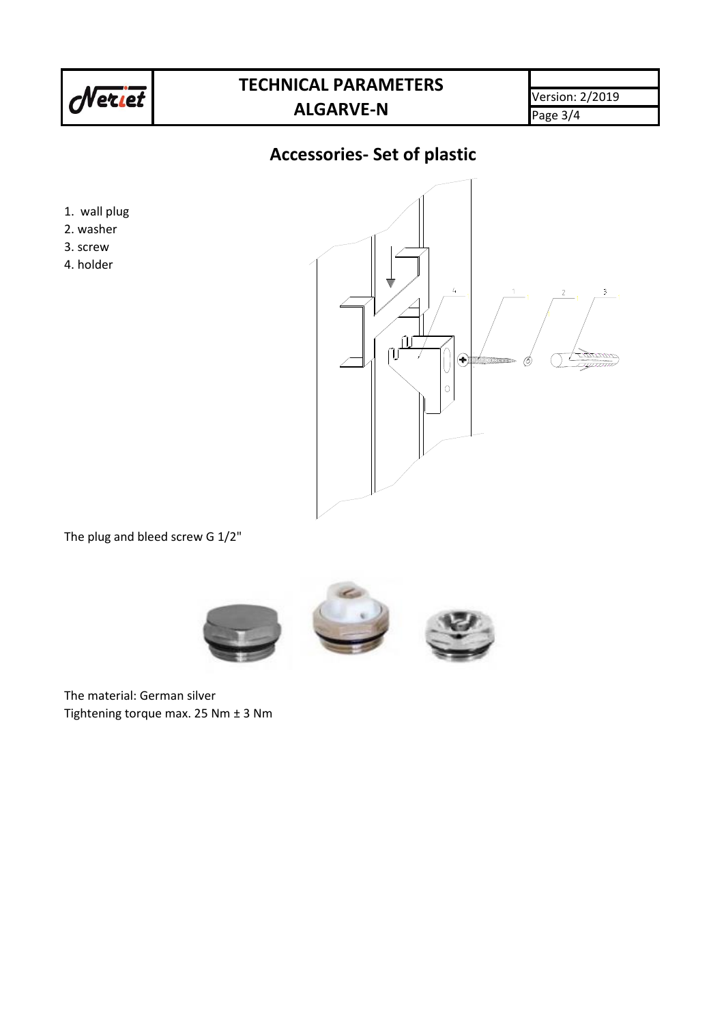

### **TECHNICAL PARAMETERS ALGARVE-N**

Version: 2/2019 Page 3/4

### **Accessories- Set of plastic**

- 1. wall plug
- 2. washer
- 3. screw
- 4. holder



The plug and bleed screw G 1/2"



The material: German silver Tightening torque max. 25 Nm ± 3 Nm